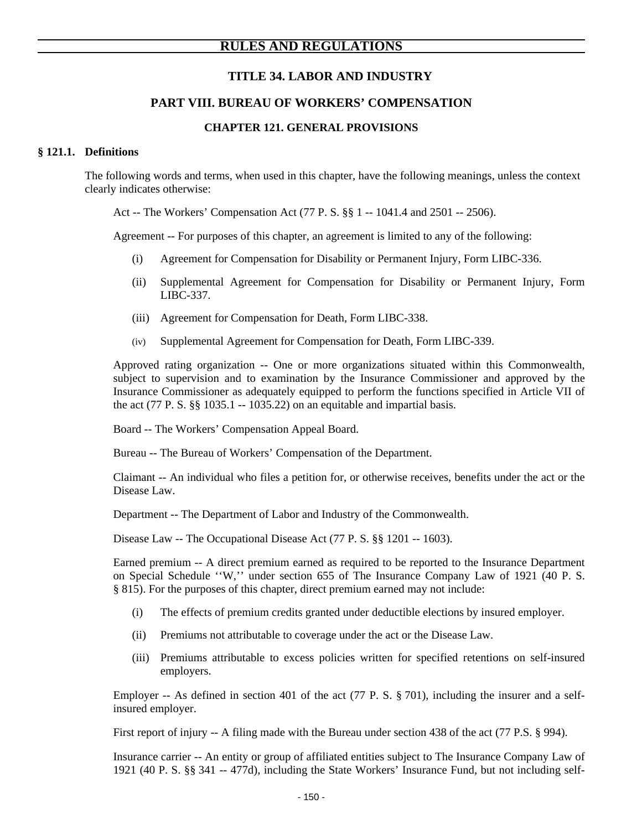# **TITLE 34. LABOR AND INDUSTRY**

# **PART VIII. BUREAU OF WORKERS' COMPENSATION**

# **CHAPTER 121. GENERAL PROVISIONS**

#### **§ 121.1. Definitions**

The following words and terms, when used in this chapter, have the following meanings, unless the context clearly indicates otherwise:

Act -- The Workers' Compensation Act (77 P. S. §§ 1 -- 1041.4 and 2501 -- 2506).

Agreement -- For purposes of this chapter, an agreement is limited to any of the following:

- (i) Agreement for Compensation for Disability or Permanent Injury, Form LIBC-336.
- (ii) Supplemental Agreement for Compensation for Disability or Permanent Injury, Form LIBC-337.
- (iii) Agreement for Compensation for Death, Form LIBC-338.
- (iv) Supplemental Agreement for Compensation for Death, Form LIBC-339.

Approved rating organization -- One or more organizations situated within this Commonwealth, subject to supervision and to examination by the Insurance Commissioner and approved by the Insurance Commissioner as adequately equipped to perform the functions specified in Article VII of the act (77 P. S.  $\S$ ) 1035.1 -- 1035.22) on an equitable and impartial basis.

Board -- The Workers' Compensation Appeal Board.

Bureau -- The Bureau of Workers' Compensation of the Department.

Claimant -- An individual who files a petition for, or otherwise receives, benefits under the act or the Disease Law.

Department -- The Department of Labor and Industry of the Commonwealth.

Disease Law -- The Occupational Disease Act (77 P. S. §§ 1201 -- 1603).

Earned premium -- A direct premium earned as required to be reported to the Insurance Department on Special Schedule ''W,'' under section 655 of The Insurance Company Law of 1921 (40 P. S. § 815). For the purposes of this chapter, direct premium earned may not include:

- (i) The effects of premium credits granted under deductible elections by insured employer.
- (ii) Premiums not attributable to coverage under the act or the Disease Law.
- (iii) Premiums attributable to excess policies written for specified retentions on self-insured employers.

Employer -- As defined in section 401 of the act (77 P. S. § 701), including the insurer and a selfinsured employer.

First report of injury -- A filing made with the Bureau under section 438 of the act (77 P.S. § 994).

 Insurance carrier -- An entity or group of affiliated entities subject to The Insurance Company Law of 1921 (40 P. S. §§ 341 -- 477d), including the State Workers' Insurance Fund, but not including self-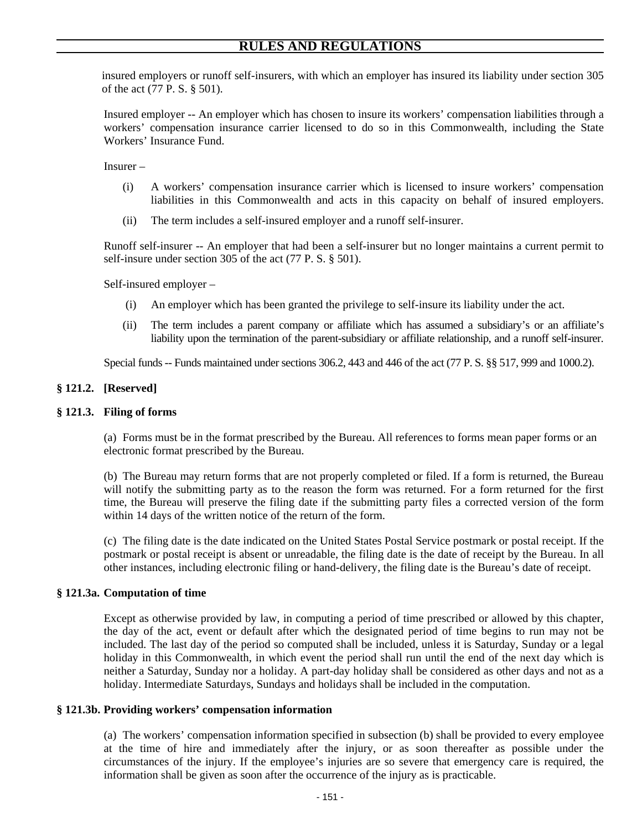insured employers or runoff self-insurers, with which an employer has insured its liability under section 305 of the act (77 P. S. § 501).

Insured employer -- An employer which has chosen to insure its workers' compensation liabilities through a workers' compensation insurance carrier licensed to do so in this Commonwealth, including the State Workers' Insurance Fund.

Insurer –

- (i) A workers' compensation insurance carrier which is licensed to insure workers' compensation liabilities in this Commonwealth and acts in this capacity on behalf of insured employers.
- (ii) The term includes a self-insured employer and a runoff self-insurer.

Runoff self-insurer -- An employer that had been a self-insurer but no longer maintains a current permit to self-insure under section 305 of the act (77 P. S. § 501).

Self-insured employer –

- (i) An employer which has been granted the privilege to self-insure its liability under the act.
- (ii) The term includes a parent company or affiliate which has assumed a subsidiary's or an affiliate's liability upon the termination of the parent-subsidiary or affiliate relationship, and a runoff self-insurer.

Special funds -- Funds maintained under sections 306.2, 443 and 446 of the act (77 P. S. §§ 517, 999 and 1000.2).

# **§ 121.2. [Reserved]**

#### **§ 121.3. Filing of forms**

(a) Forms must be in the format prescribed by the Bureau. All references to forms mean paper forms or an electronic format prescribed by the Bureau.

(b) The Bureau may return forms that are not properly completed or filed. If a form is returned, the Bureau will notify the submitting party as to the reason the form was returned. For a form returned for the first time, the Bureau will preserve the filing date if the submitting party files a corrected version of the form within 14 days of the written notice of the return of the form.

(c) The filing date is the date indicated on the United States Postal Service postmark or postal receipt. If the postmark or postal receipt is absent or unreadable, the filing date is the date of receipt by the Bureau. In all other instances, including electronic filing or hand-delivery, the filing date is the Bureau's date of receipt.

#### **§ 121.3a. Computation of time**

Except as otherwise provided by law, in computing a period of time prescribed or allowed by this chapter, the day of the act, event or default after which the designated period of time begins to run may not be included. The last day of the period so computed shall be included, unless it is Saturday, Sunday or a legal holiday in this Commonwealth, in which event the period shall run until the end of the next day which is neither a Saturday, Sunday nor a holiday. A part-day holiday shall be considered as other days and not as a holiday. Intermediate Saturdays, Sundays and holidays shall be included in the computation.

#### **§ 121.3b. Providing workers' compensation information**

(a) The workers' compensation information specified in subsection (b) shall be provided to every employee at the time of hire and immediately after the injury, or as soon thereafter as possible under the circumstances of the injury. If the employee's injuries are so severe that emergency care is required, the information shall be given as soon after the occurrence of the injury as is practicable.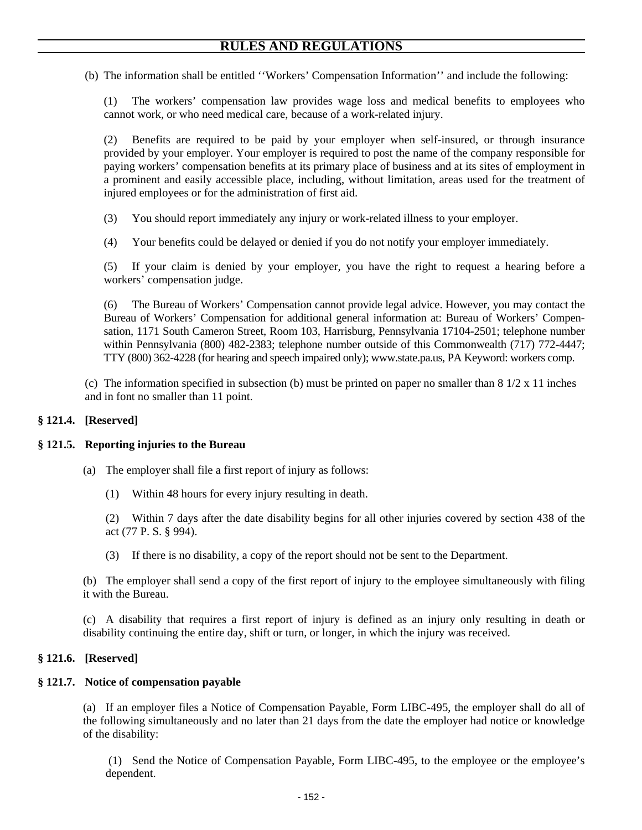(b) The information shall be entitled ''Workers' Compensation Information'' and include the following:

(1) The workers' compensation law provides wage loss and medical benefits to employees who cannot work, or who need medical care, because of a work-related injury.

(2) Benefits are required to be paid by your employer when self-insured, or through insurance provided by your employer. Your employer is required to post the name of the company responsible for paying workers' compensation benefits at its primary place of business and at its sites of employment in a prominent and easily accessible place, including, without limitation, areas used for the treatment of injured employees or for the administration of first aid.

- (3) You should report immediately any injury or work-related illness to your employer.
- (4) Your benefits could be delayed or denied if you do not notify your employer immediately.

(5) If your claim is denied by your employer, you have the right to request a hearing before a workers' compensation judge.

(6) The Bureau of Workers' Compensation cannot provide legal advice. However, you may contact the Bureau of Workers' Compensation for additional general information at: Bureau of Workers' Compensation, 1171 South Cameron Street, Room 103, Harrisburg, Pennsylvania 17104-2501; telephone number within Pennsylvania (800) 482-2383; telephone number outside of this Commonwealth (717) 772-4447; TTY (800) 362-4228 (for hearing and speech impaired only); www.state.pa.us, PA Keyword: workers comp.

(c) The information specified in subsection (b) must be printed on paper no smaller than  $8\frac{1}{2} \times 11$  inches and in font no smaller than 11 point.

#### **§ 121.4. [Reserved]**

#### **§ 121.5. Reporting injuries to the Bureau**

- (a) The employer shall file a first report of injury as follows:
	- (1) Within 48 hours for every injury resulting in death.

(2) Within 7 days after the date disability begins for all other injuries covered by section 438 of the act (77 P. S. § 994).

(3) If there is no disability, a copy of the report should not be sent to the Department.

(b) The employer shall send a copy of the first report of injury to the employee simultaneously with filing it with the Bureau.

(c) A disability that requires a first report of injury is defined as an injury only resulting in death or disability continuing the entire day, shift or turn, or longer, in which the injury was received.

#### **§ 121.6. [Reserved]**

#### **§ 121.7. Notice of compensation payable**

(a) If an employer files a Notice of Compensation Payable, Form LIBC-495, the employer shall do all of the following simultaneously and no later than 21 days from the date the employer had notice or knowledge of the disability:

 (1) Send the Notice of Compensation Payable, Form LIBC-495, to the employee or the employee's dependent.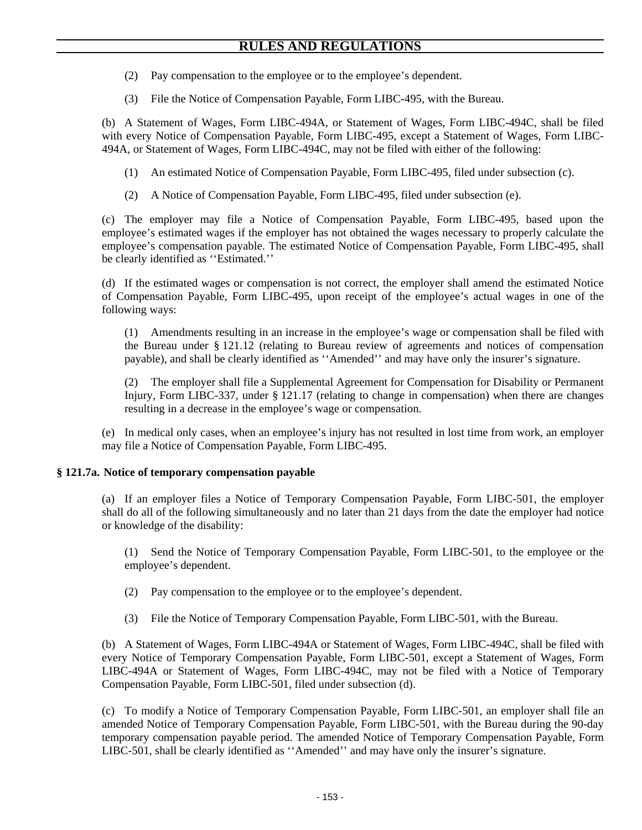- (2) Pay compensation to the employee or to the employee's dependent.
- (3) File the Notice of Compensation Payable, Form LIBC-495, with the Bureau.

(b) A Statement of Wages, Form LIBC-494A, or Statement of Wages, Form LIBC-494C, shall be filed with every Notice of Compensation Payable, Form LIBC-495, except a Statement of Wages, Form LIBC-494A, or Statement of Wages, Form LIBC-494C, may not be filed with either of the following:

- (1) An estimated Notice of Compensation Payable, Form LIBC-495, filed under subsection (c).
- (2) A Notice of Compensation Payable, Form LIBC-495, filed under subsection (e).

(c) The employer may file a Notice of Compensation Payable, Form LIBC-495, based upon the employee's estimated wages if the employer has not obtained the wages necessary to properly calculate the employee's compensation payable. The estimated Notice of Compensation Payable, Form LIBC-495, shall be clearly identified as ''Estimated.''

(d) If the estimated wages or compensation is not correct, the employer shall amend the estimated Notice of Compensation Payable, Form LIBC-495, upon receipt of the employee's actual wages in one of the following ways:

(1) Amendments resulting in an increase in the employee's wage or compensation shall be filed with the Bureau under § 121.12 (relating to Bureau review of agreements and notices of compensation payable), and shall be clearly identified as ''Amended'' and may have only the insurer's signature.

(2) The employer shall file a Supplemental Agreement for Compensation for Disability or Permanent Injury, Form LIBC-337, under § 121.17 (relating to change in compensation) when there are changes resulting in a decrease in the employee's wage or compensation.

(e) In medical only cases, when an employee's injury has not resulted in lost time from work, an employer may file a Notice of Compensation Payable, Form LIBC-495.

# **§ 121.7a. Notice of temporary compensation payable**

(a) If an employer files a Notice of Temporary Compensation Payable, Form LIBC-501, the employer shall do all of the following simultaneously and no later than 21 days from the date the employer had notice or knowledge of the disability:

(1) Send the Notice of Temporary Compensation Payable, Form LIBC-501, to the employee or the employee's dependent.

- (2) Pay compensation to the employee or to the employee's dependent.
- (3) File the Notice of Temporary Compensation Payable, Form LIBC-501, with the Bureau.

(b) A Statement of Wages, Form LIBC-494A or Statement of Wages, Form LIBC-494C, shall be filed with every Notice of Temporary Compensation Payable, Form LIBC-501, except a Statement of Wages, Form LIBC-494A or Statement of Wages, Form LIBC-494C, may not be filed with a Notice of Temporary Compensation Payable, Form LIBC-501, filed under subsection (d).

(c) To modify a Notice of Temporary Compensation Payable, Form LIBC-501, an employer shall file an amended Notice of Temporary Compensation Payable, Form LIBC-501, with the Bureau during the 90-day temporary compensation payable period. The amended Notice of Temporary Compensation Payable, Form LIBC-501, shall be clearly identified as ''Amended'' and may have only the insurer's signature.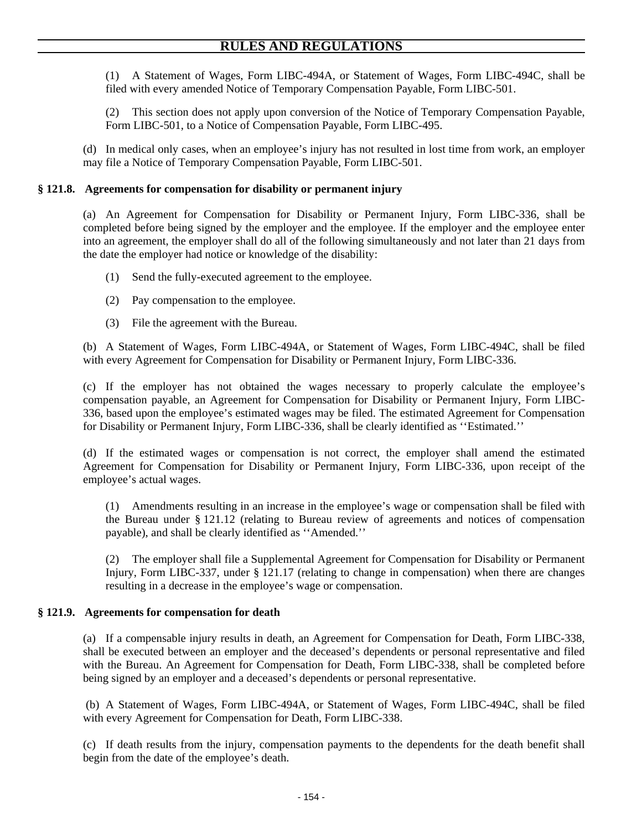(1) A Statement of Wages, Form LIBC-494A, or Statement of Wages, Form LIBC-494C, shall be filed with every amended Notice of Temporary Compensation Payable, Form LIBC-501.

(2) This section does not apply upon conversion of the Notice of Temporary Compensation Payable, Form LIBC-501, to a Notice of Compensation Payable, Form LIBC-495.

(d) In medical only cases, when an employee's injury has not resulted in lost time from work, an employer may file a Notice of Temporary Compensation Payable, Form LIBC-501.

# **§ 121.8. Agreements for compensation for disability or permanent injury**

(a) An Agreement for Compensation for Disability or Permanent Injury, Form LIBC-336, shall be completed before being signed by the employer and the employee. If the employer and the employee enter into an agreement, the employer shall do all of the following simultaneously and not later than 21 days from the date the employer had notice or knowledge of the disability:

- (1) Send the fully-executed agreement to the employee.
- (2) Pay compensation to the employee.
- (3) File the agreement with the Bureau.

(b) A Statement of Wages, Form LIBC-494A, or Statement of Wages, Form LIBC-494C, shall be filed with every Agreement for Compensation for Disability or Permanent Injury, Form LIBC-336.

(c) If the employer has not obtained the wages necessary to properly calculate the employee's compensation payable, an Agreement for Compensation for Disability or Permanent Injury, Form LIBC-336, based upon the employee's estimated wages may be filed. The estimated Agreement for Compensation for Disability or Permanent Injury, Form LIBC-336, shall be clearly identified as ''Estimated.''

(d) If the estimated wages or compensation is not correct, the employer shall amend the estimated Agreement for Compensation for Disability or Permanent Injury, Form LIBC-336, upon receipt of the employee's actual wages.

(1) Amendments resulting in an increase in the employee's wage or compensation shall be filed with the Bureau under § 121.12 (relating to Bureau review of agreements and notices of compensation payable), and shall be clearly identified as ''Amended.''

(2) The employer shall file a Supplemental Agreement for Compensation for Disability or Permanent Injury, Form LIBC-337, under § 121.17 (relating to change in compensation) when there are changes resulting in a decrease in the employee's wage or compensation.

# **§ 121.9. Agreements for compensation for death**

(a) If a compensable injury results in death, an Agreement for Compensation for Death, Form LIBC-338, shall be executed between an employer and the deceased's dependents or personal representative and filed with the Bureau. An Agreement for Compensation for Death, Form LIBC-338, shall be completed before being signed by an employer and a deceased's dependents or personal representative.

 (b) A Statement of Wages, Form LIBC-494A, or Statement of Wages, Form LIBC-494C, shall be filed with every Agreement for Compensation for Death, Form LIBC-338.

(c) If death results from the injury, compensation payments to the dependents for the death benefit shall begin from the date of the employee's death.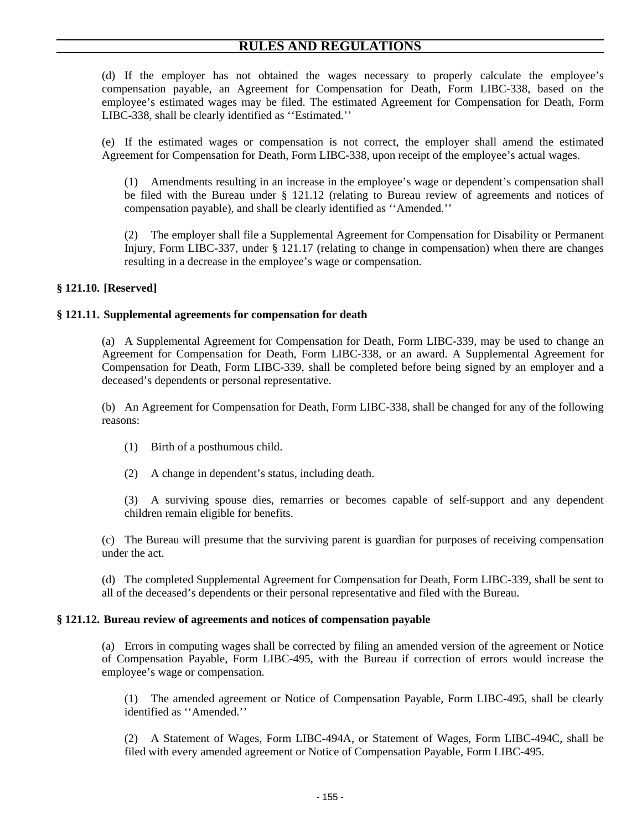(d) If the employer has not obtained the wages necessary to properly calculate the employee's compensation payable, an Agreement for Compensation for Death, Form LIBC-338, based on the employee's estimated wages may be filed. The estimated Agreement for Compensation for Death, Form LIBC-338, shall be clearly identified as ''Estimated.''

(e) If the estimated wages or compensation is not correct, the employer shall amend the estimated Agreement for Compensation for Death, Form LIBC-338, upon receipt of the employee's actual wages.

(1) Amendments resulting in an increase in the employee's wage or dependent's compensation shall be filed with the Bureau under § 121.12 (relating to Bureau review of agreements and notices of compensation payable), and shall be clearly identified as ''Amended.''

(2) The employer shall file a Supplemental Agreement for Compensation for Disability or Permanent Injury, Form LIBC-337, under § 121.17 (relating to change in compensation) when there are changes resulting in a decrease in the employee's wage or compensation.

# **§ 121.10. [Reserved]**

### **§ 121.11. Supplemental agreements for compensation for death**

(a) A Supplemental Agreement for Compensation for Death, Form LIBC-339, may be used to change an Agreement for Compensation for Death, Form LIBC-338, or an award. A Supplemental Agreement for Compensation for Death, Form LIBC-339, shall be completed before being signed by an employer and a deceased's dependents or personal representative.

(b) An Agreement for Compensation for Death, Form LIBC-338, shall be changed for any of the following reasons:

- (1) Birth of a posthumous child.
- (2) A change in dependent's status, including death.

(3) A surviving spouse dies, remarries or becomes capable of self-support and any dependent children remain eligible for benefits.

(c) The Bureau will presume that the surviving parent is guardian for purposes of receiving compensation under the act.

(d) The completed Supplemental Agreement for Compensation for Death, Form LIBC-339, shall be sent to all of the deceased's dependents or their personal representative and filed with the Bureau.

#### **§ 121.12. Bureau review of agreements and notices of compensation payable**

(a) Errors in computing wages shall be corrected by filing an amended version of the agreement or Notice of Compensation Payable, Form LIBC-495, with the Bureau if correction of errors would increase the employee's wage or compensation.

(1) The amended agreement or Notice of Compensation Payable, Form LIBC-495, shall be clearly identified as ''Amended.''

(2) A Statement of Wages, Form LIBC-494A, or Statement of Wages, Form LIBC-494C, shall be filed with every amended agreement or Notice of Compensation Payable, Form LIBC-495.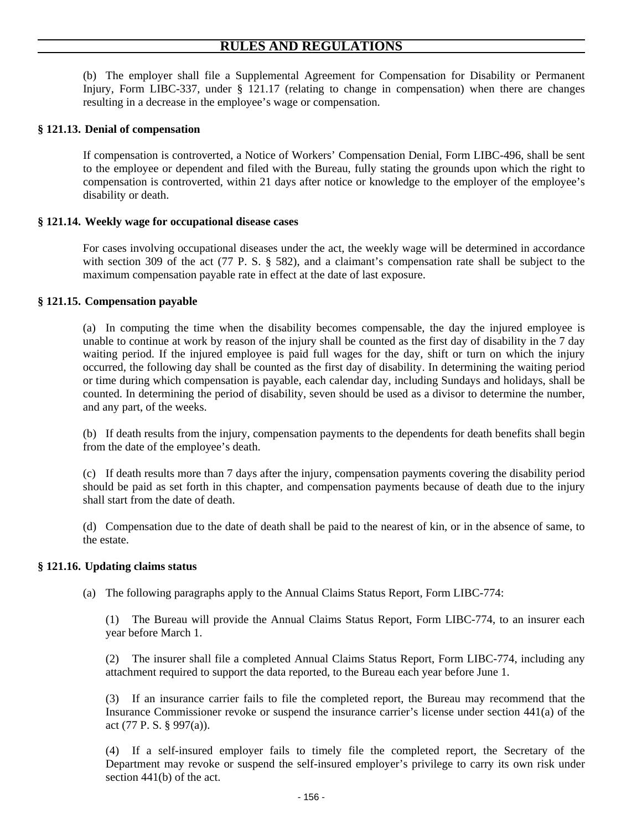(b) The employer shall file a Supplemental Agreement for Compensation for Disability or Permanent Injury, Form LIBC-337, under § 121.17 (relating to change in compensation) when there are changes resulting in a decrease in the employee's wage or compensation.

## **§ 121.13. Denial of compensation**

If compensation is controverted, a Notice of Workers' Compensation Denial, Form LIBC-496, shall be sent to the employee or dependent and filed with the Bureau, fully stating the grounds upon which the right to compensation is controverted, within 21 days after notice or knowledge to the employer of the employee's disability or death.

### **§ 121.14. Weekly wage for occupational disease cases**

For cases involving occupational diseases under the act, the weekly wage will be determined in accordance with section 309 of the act (77 P. S. § 582), and a claimant's compensation rate shall be subject to the maximum compensation payable rate in effect at the date of last exposure.

### **§ 121.15. Compensation payable**

(a) In computing the time when the disability becomes compensable, the day the injured employee is unable to continue at work by reason of the injury shall be counted as the first day of disability in the 7 day waiting period. If the injured employee is paid full wages for the day, shift or turn on which the injury occurred, the following day shall be counted as the first day of disability. In determining the waiting period or time during which compensation is payable, each calendar day, including Sundays and holidays, shall be counted. In determining the period of disability, seven should be used as a divisor to determine the number, and any part, of the weeks.

(b) If death results from the injury, compensation payments to the dependents for death benefits shall begin from the date of the employee's death.

(c) If death results more than 7 days after the injury, compensation payments covering the disability period should be paid as set forth in this chapter, and compensation payments because of death due to the injury shall start from the date of death.

(d) Compensation due to the date of death shall be paid to the nearest of kin, or in the absence of same, to the estate.

### **§ 121.16. Updating claims status**

(a) The following paragraphs apply to the Annual Claims Status Report, Form LIBC-774:

(1) The Bureau will provide the Annual Claims Status Report, Form LIBC-774, to an insurer each year before March 1.

(2) The insurer shall file a completed Annual Claims Status Report, Form LIBC-774, including any attachment required to support the data reported, to the Bureau each year before June 1.

(3) If an insurance carrier fails to file the completed report, the Bureau may recommend that the Insurance Commissioner revoke or suspend the insurance carrier's license under section 441(a) of the act (77 P. S. § 997(a)).

(4) If a self-insured employer fails to timely file the completed report, the Secretary of the Department may revoke or suspend the self-insured employer's privilege to carry its own risk under section 441(b) of the act.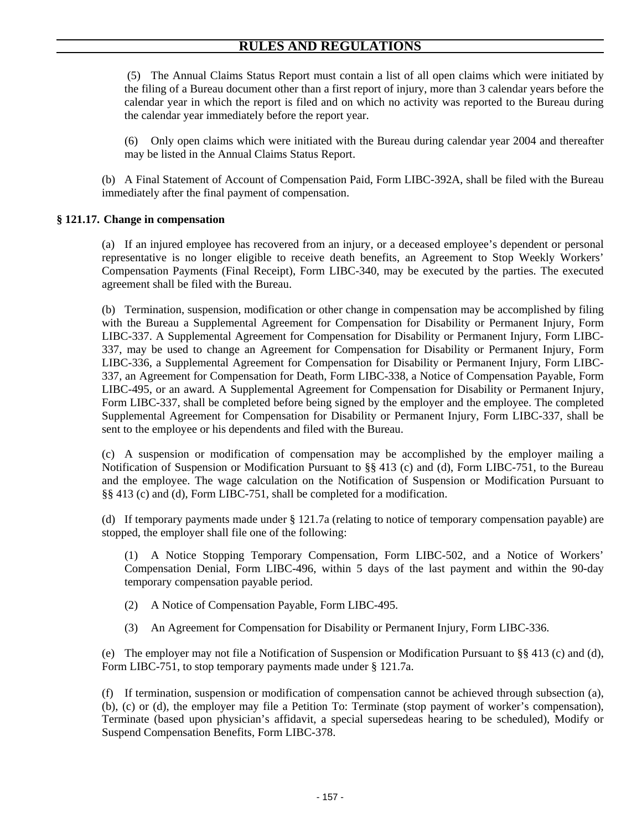(5) The Annual Claims Status Report must contain a list of all open claims which were initiated by the filing of a Bureau document other than a first report of injury, more than 3 calendar years before the calendar year in which the report is filed and on which no activity was reported to the Bureau during the calendar year immediately before the report year.

(6) Only open claims which were initiated with the Bureau during calendar year 2004 and thereafter may be listed in the Annual Claims Status Report.

(b) A Final Statement of Account of Compensation Paid, Form LIBC-392A, shall be filed with the Bureau immediately after the final payment of compensation.

# **§ 121.17. Change in compensation**

(a) If an injured employee has recovered from an injury, or a deceased employee's dependent or personal representative is no longer eligible to receive death benefits, an Agreement to Stop Weekly Workers' Compensation Payments (Final Receipt), Form LIBC-340, may be executed by the parties. The executed agreement shall be filed with the Bureau.

(b) Termination, suspension, modification or other change in compensation may be accomplished by filing with the Bureau a Supplemental Agreement for Compensation for Disability or Permanent Injury, Form LIBC-337. A Supplemental Agreement for Compensation for Disability or Permanent Injury, Form LIBC-337, may be used to change an Agreement for Compensation for Disability or Permanent Injury, Form LIBC-336, a Supplemental Agreement for Compensation for Disability or Permanent Injury, Form LIBC-337, an Agreement for Compensation for Death, Form LIBC-338, a Notice of Compensation Payable, Form LIBC-495, or an award. A Supplemental Agreement for Compensation for Disability or Permanent Injury, Form LIBC-337, shall be completed before being signed by the employer and the employee. The completed Supplemental Agreement for Compensation for Disability or Permanent Injury, Form LIBC-337, shall be sent to the employee or his dependents and filed with the Bureau.

(c) A suspension or modification of compensation may be accomplished by the employer mailing a Notification of Suspension or Modification Pursuant to §§ 413 (c) and (d), Form LIBC-751, to the Bureau and the employee. The wage calculation on the Notification of Suspension or Modification Pursuant to §§ 413 (c) and (d), Form LIBC-751, shall be completed for a modification.

(d) If temporary payments made under § 121.7a (relating to notice of temporary compensation payable) are stopped, the employer shall file one of the following:

(1) A Notice Stopping Temporary Compensation, Form LIBC-502, and a Notice of Workers' Compensation Denial, Form LIBC-496, within 5 days of the last payment and within the 90-day temporary compensation payable period.

- (2) A Notice of Compensation Payable, Form LIBC-495.
- (3) An Agreement for Compensation for Disability or Permanent Injury, Form LIBC-336.

(e) The employer may not file a Notification of Suspension or Modification Pursuant to  $\S$ § 413 (c) and (d), Form LIBC-751, to stop temporary payments made under § 121.7a.

(f) If termination, suspension or modification of compensation cannot be achieved through subsection (a), (b), (c) or (d), the employer may file a Petition To: Terminate (stop payment of worker's compensation), Terminate (based upon physician's affidavit, a special supersedeas hearing to be scheduled), Modify or Suspend Compensation Benefits, Form LIBC-378.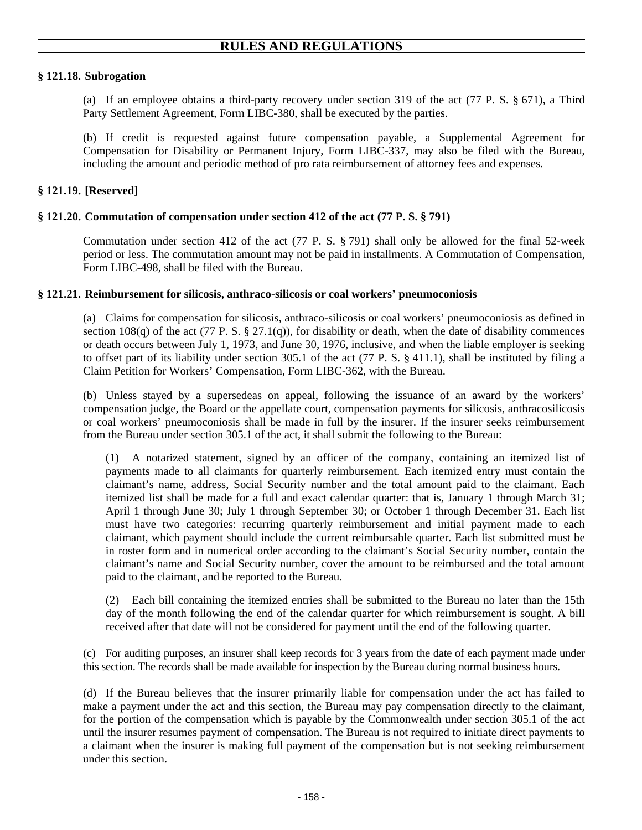# **§ 121.18. Subrogation**

(a) If an employee obtains a third-party recovery under section 319 of the act (77 P. S. § 671), a Third Party Settlement Agreement, Form LIBC-380, shall be executed by the parties.

(b) If credit is requested against future compensation payable, a Supplemental Agreement for Compensation for Disability or Permanent Injury, Form LIBC-337, may also be filed with the Bureau, including the amount and periodic method of pro rata reimbursement of attorney fees and expenses.

# **§ 121.19. [Reserved]**

### **§ 121.20. Commutation of compensation under section 412 of the act (77 P. S. § 791)**

Commutation under section 412 of the act (77 P. S. § 791) shall only be allowed for the final 52-week period or less. The commutation amount may not be paid in installments. A Commutation of Compensation, Form LIBC-498, shall be filed with the Bureau.

### **§ 121.21. Reimbursement for silicosis, anthraco-silicosis or coal workers' pneumoconiosis**

(a) Claims for compensation for silicosis, anthraco-silicosis or coal workers' pneumoconiosis as defined in section 108(q) of the act (77 P. S. § 27.1(q)), for disability or death, when the date of disability commences or death occurs between July 1, 1973, and June 30, 1976, inclusive, and when the liable employer is seeking to offset part of its liability under section 305.1 of the act (77 P. S. § 411.1), shall be instituted by filing a Claim Petition for Workers' Compensation, Form LIBC-362, with the Bureau.

(b) Unless stayed by a supersedeas on appeal, following the issuance of an award by the workers' compensation judge, the Board or the appellate court, compensation payments for silicosis, anthracosilicosis or coal workers' pneumoconiosis shall be made in full by the insurer. If the insurer seeks reimbursement from the Bureau under section 305.1 of the act, it shall submit the following to the Bureau:

(1) A notarized statement, signed by an officer of the company, containing an itemized list of payments made to all claimants for quarterly reimbursement. Each itemized entry must contain the claimant's name, address, Social Security number and the total amount paid to the claimant. Each itemized list shall be made for a full and exact calendar quarter: that is, January 1 through March 31; April 1 through June 30; July 1 through September 30; or October 1 through December 31. Each list must have two categories: recurring quarterly reimbursement and initial payment made to each claimant, which payment should include the current reimbursable quarter. Each list submitted must be in roster form and in numerical order according to the claimant's Social Security number, contain the claimant's name and Social Security number, cover the amount to be reimbursed and the total amount paid to the claimant, and be reported to the Bureau.

(2) Each bill containing the itemized entries shall be submitted to the Bureau no later than the 15th day of the month following the end of the calendar quarter for which reimbursement is sought. A bill received after that date will not be considered for payment until the end of the following quarter.

(c) For auditing purposes, an insurer shall keep records for 3 years from the date of each payment made under this section. The records shall be made available for inspection by the Bureau during normal business hours.

(d) If the Bureau believes that the insurer primarily liable for compensation under the act has failed to make a payment under the act and this section, the Bureau may pay compensation directly to the claimant, for the portion of the compensation which is payable by the Commonwealth under section 305.1 of the act until the insurer resumes payment of compensation. The Bureau is not required to initiate direct payments to a claimant when the insurer is making full payment of the compensation but is not seeking reimbursement under this section.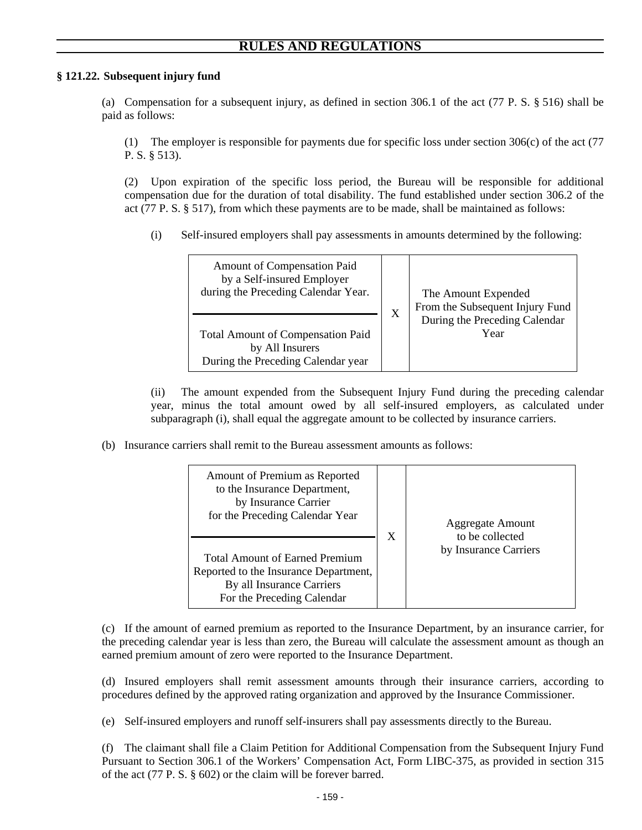# **§ 121.22. Subsequent injury fund**

(a) Compensation for a subsequent injury, as defined in section 306.1 of the act (77 P. S. § 516) shall be paid as follows:

(1) The employer is responsible for payments due for specific loss under section 306(c) of the act (77 P. S. § 513).

(2) Upon expiration of the specific loss period, the Bureau will be responsible for additional compensation due for the duration of total disability. The fund established under section 306.2 of the act (77 P. S. § 517), from which these payments are to be made, shall be maintained as follows:

(i) Self-insured employers shall pay assessments in amounts determined by the following:

| <b>Amount of Compensation Paid</b><br>by a Self-insured Employer<br>during the Preceding Calendar Year. | X | The Amount Expended<br>From the Subsequent Injury Fund |
|---------------------------------------------------------------------------------------------------------|---|--------------------------------------------------------|
| <b>Total Amount of Compensation Paid</b><br>by All Insurers<br>During the Preceding Calendar year       |   | During the Preceding Calendar<br>Year                  |

(ii) The amount expended from the Subsequent Injury Fund during the preceding calendar year, minus the total amount owed by all self-insured employers, as calculated under subparagraph (i), shall equal the aggregate amount to be collected by insurance carriers.

(b) Insurance carriers shall remit to the Bureau assessment amounts as follows:

| Amount of Premium as Reported<br>to the Insurance Department,<br>by Insurance Carrier<br>for the Preceding Calendar Year<br><b>Total Amount of Earned Premium</b><br>Reported to the Insurance Department,<br>By all Insurance Carriers<br>For the Preceding Calendar | X | <b>Aggregate Amount</b><br>to be collected<br>by Insurance Carriers |
|-----------------------------------------------------------------------------------------------------------------------------------------------------------------------------------------------------------------------------------------------------------------------|---|---------------------------------------------------------------------|
|-----------------------------------------------------------------------------------------------------------------------------------------------------------------------------------------------------------------------------------------------------------------------|---|---------------------------------------------------------------------|

(c) If the amount of earned premium as reported to the Insurance Department, by an insurance carrier, for the preceding calendar year is less than zero, the Bureau will calculate the assessment amount as though an earned premium amount of zero were reported to the Insurance Department.

(d) Insured employers shall remit assessment amounts through their insurance carriers, according to procedures defined by the approved rating organization and approved by the Insurance Commissioner.

(e) Self-insured employers and runoff self-insurers shall pay assessments directly to the Bureau.

(f) The claimant shall file a Claim Petition for Additional Compensation from the Subsequent Injury Fund Pursuant to Section 306.1 of the Workers' Compensation Act, Form LIBC-375, as provided in section 315 of the act (77 P. S. § 602) or the claim will be forever barred.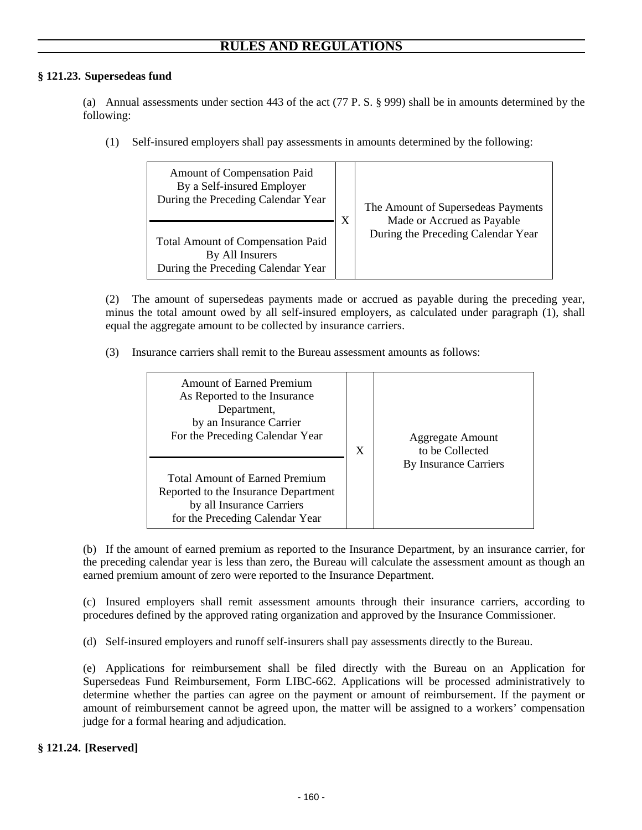# **§ 121.23. Supersedeas fund**

(a) Annual assessments under section 443 of the act (77 P. S. § 999) shall be in amounts determined by the following:

(1) Self-insured employers shall pay assessments in amounts determined by the following:

| Amount of Compensation Paid<br>By a Self-insured Employer<br>During the Preceding Calendar Year   | X | The Amount of Supersedeas Payments                               |
|---------------------------------------------------------------------------------------------------|---|------------------------------------------------------------------|
| <b>Total Amount of Compensation Paid</b><br>By All Insurers<br>During the Preceding Calendar Year |   | Made or Accrued as Payable<br>During the Preceding Calendar Year |

(2) The amount of supersedeas payments made or accrued as payable during the preceding year, minus the total amount owed by all self-insured employers, as calculated under paragraph (1), shall equal the aggregate amount to be collected by insurance carriers.

(3) Insurance carriers shall remit to the Bureau assessment amounts as follows:

| <b>Amount of Earned Premium</b><br>As Reported to the Insurance<br>Department,<br>by an Insurance Carrier<br>For the Preceding Calendar Year  | X | Aggregate Amount<br>to be Collected |
|-----------------------------------------------------------------------------------------------------------------------------------------------|---|-------------------------------------|
| <b>Total Amount of Earned Premium</b><br>Reported to the Insurance Department<br>by all Insurance Carriers<br>for the Preceding Calendar Year |   | By Insurance Carriers               |

(b) If the amount of earned premium as reported to the Insurance Department, by an insurance carrier, for the preceding calendar year is less than zero, the Bureau will calculate the assessment amount as though an earned premium amount of zero were reported to the Insurance Department.

(c) Insured employers shall remit assessment amounts through their insurance carriers, according to procedures defined by the approved rating organization and approved by the Insurance Commissioner.

(d) Self-insured employers and runoff self-insurers shall pay assessments directly to the Bureau.

(e) Applications for reimbursement shall be filed directly with the Bureau on an Application for Supersedeas Fund Reimbursement, Form LIBC-662. Applications will be processed administratively to determine whether the parties can agree on the payment or amount of reimbursement. If the payment or amount of reimbursement cannot be agreed upon, the matter will be assigned to a workers' compensation judge for a formal hearing and adjudication.

# **§ 121.24. [Reserved]**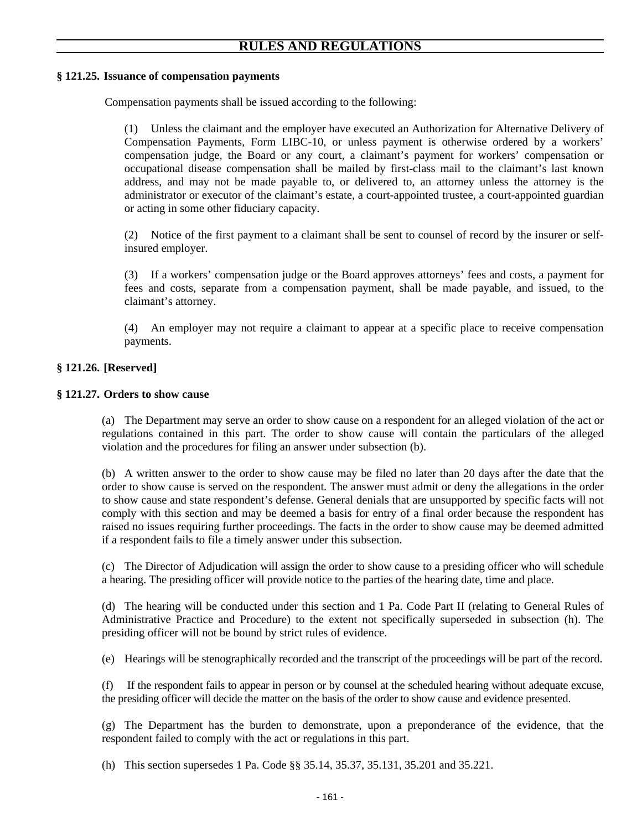# **§ 121.25. Issuance of compensation payments**

Compensation payments shall be issued according to the following:

(1) Unless the claimant and the employer have executed an Authorization for Alternative Delivery of Compensation Payments, Form LIBC-10, or unless payment is otherwise ordered by a workers' compensation judge, the Board or any court, a claimant's payment for workers' compensation or occupational disease compensation shall be mailed by first-class mail to the claimant's last known address, and may not be made payable to, or delivered to, an attorney unless the attorney is the administrator or executor of the claimant's estate, a court-appointed trustee, a court-appointed guardian or acting in some other fiduciary capacity.

(2) Notice of the first payment to a claimant shall be sent to counsel of record by the insurer or selfinsured employer.

(3) If a workers' compensation judge or the Board approves attorneys' fees and costs, a payment for fees and costs, separate from a compensation payment, shall be made payable, and issued, to the claimant's attorney.

(4) An employer may not require a claimant to appear at a specific place to receive compensation payments.

# **§ 121.26. [Reserved]**

# **§ 121.27. Orders to show cause**

(a) The Department may serve an order to show cause on a respondent for an alleged violation of the act or regulations contained in this part. The order to show cause will contain the particulars of the alleged violation and the procedures for filing an answer under subsection (b).

(b) A written answer to the order to show cause may be filed no later than 20 days after the date that the order to show cause is served on the respondent. The answer must admit or deny the allegations in the order to show cause and state respondent's defense. General denials that are unsupported by specific facts will not comply with this section and may be deemed a basis for entry of a final order because the respondent has raised no issues requiring further proceedings. The facts in the order to show cause may be deemed admitted if a respondent fails to file a timely answer under this subsection.

(c) The Director of Adjudication will assign the order to show cause to a presiding officer who will schedule a hearing. The presiding officer will provide notice to the parties of the hearing date, time and place.

(d) The hearing will be conducted under this section and 1 Pa. Code Part II (relating to General Rules of Administrative Practice and Procedure) to the extent not specifically superseded in subsection (h). The presiding officer will not be bound by strict rules of evidence.

(e) Hearings will be stenographically recorded and the transcript of the proceedings will be part of the record.

(f) If the respondent fails to appear in person or by counsel at the scheduled hearing without adequate excuse, the presiding officer will decide the matter on the basis of the order to show cause and evidence presented.

(g) The Department has the burden to demonstrate, upon a preponderance of the evidence, that the respondent failed to comply with the act or regulations in this part.

(h) This section supersedes 1 Pa. Code §§ 35.14, 35.37, 35.131, 35.201 and 35.221.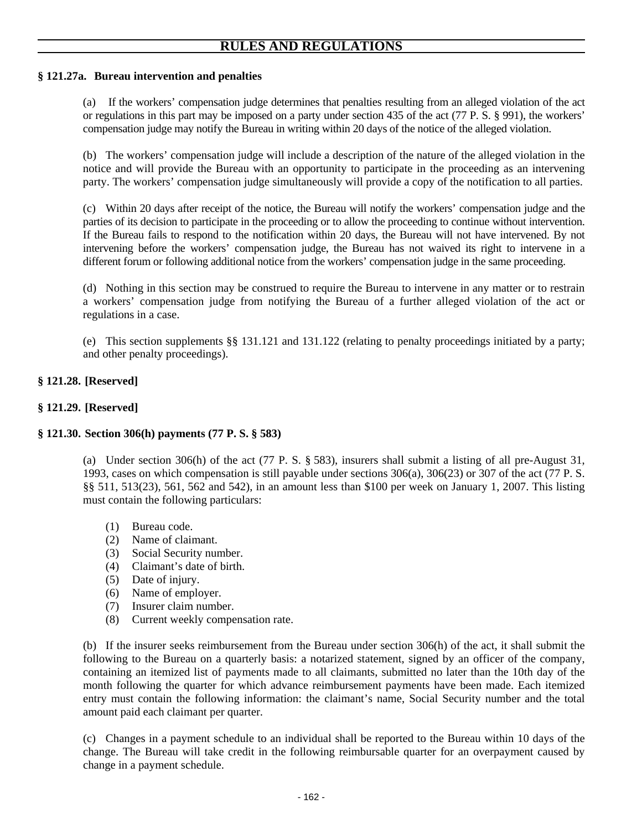# **§ 121.27a. Bureau intervention and penalties**

(a) If the workers' compensation judge determines that penalties resulting from an alleged violation of the act or regulations in this part may be imposed on a party under section 435 of the act (77 P. S. § 991), the workers' compensation judge may notify the Bureau in writing within 20 days of the notice of the alleged violation.

(b) The workers' compensation judge will include a description of the nature of the alleged violation in the notice and will provide the Bureau with an opportunity to participate in the proceeding as an intervening party. The workers' compensation judge simultaneously will provide a copy of the notification to all parties.

(c) Within 20 days after receipt of the notice, the Bureau will notify the workers' compensation judge and the parties of its decision to participate in the proceeding or to allow the proceeding to continue without intervention. If the Bureau fails to respond to the notification within 20 days, the Bureau will not have intervened. By not intervening before the workers' compensation judge, the Bureau has not waived its right to intervene in a different forum or following additional notice from the workers' compensation judge in the same proceeding.

(d) Nothing in this section may be construed to require the Bureau to intervene in any matter or to restrain a workers' compensation judge from notifying the Bureau of a further alleged violation of the act or regulations in a case.

(e) This section supplements §§ 131.121 and 131.122 (relating to penalty proceedings initiated by a party; and other penalty proceedings).

# **§ 121.28. [Reserved]**

# **§ 121.29. [Reserved]**

# **§ 121.30. Section 306(h) payments (77 P. S. § 583)**

(a) Under section 306(h) of the act (77 P. S. § 583), insurers shall submit a listing of all pre-August 31, 1993, cases on which compensation is still payable under sections 306(a), 306(23) or 307 of the act (77 P. S. §§ 511, 513(23), 561, 562 and 542), in an amount less than \$100 per week on January 1, 2007. This listing must contain the following particulars:

- (1) Bureau code.
- (2) Name of claimant.
- (3) Social Security number.
- (4) Claimant's date of birth.
- (5) Date of injury.
- (6) Name of employer.
- (7) Insurer claim number.
- (8) Current weekly compensation rate.

(b) If the insurer seeks reimbursement from the Bureau under section 306(h) of the act, it shall submit the following to the Bureau on a quarterly basis: a notarized statement, signed by an officer of the company, containing an itemized list of payments made to all claimants, submitted no later than the 10th day of the month following the quarter for which advance reimbursement payments have been made. Each itemized entry must contain the following information: the claimant's name, Social Security number and the total amount paid each claimant per quarter.

(c) Changes in a payment schedule to an individual shall be reported to the Bureau within 10 days of the change. The Bureau will take credit in the following reimbursable quarter for an overpayment caused by change in a payment schedule.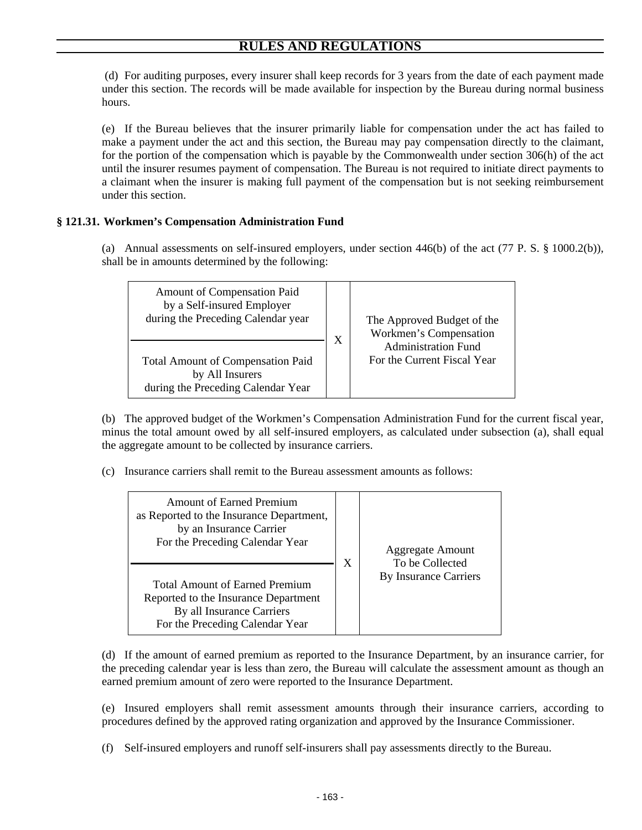(d) For auditing purposes, every insurer shall keep records for 3 years from the date of each payment made under this section. The records will be made available for inspection by the Bureau during normal business hours.

(e) If the Bureau believes that the insurer primarily liable for compensation under the act has failed to make a payment under the act and this section, the Bureau may pay compensation directly to the claimant, for the portion of the compensation which is payable by the Commonwealth under section 306(h) of the act until the insurer resumes payment of compensation. The Bureau is not required to initiate direct payments to a claimant when the insurer is making full payment of the compensation but is not seeking reimbursement under this section.

# **§ 121.31. Workmen's Compensation Administration Fund**

(a) Annual assessments on self-insured employers, under section 446(b) of the act (77 P. S. § 1000.2(b)), shall be in amounts determined by the following:



(b) The approved budget of the Workmen's Compensation Administration Fund for the current fiscal year, minus the total amount owed by all self-insured employers, as calculated under subsection (a), shall equal the aggregate amount to be collected by insurance carriers.

(c) Insurance carriers shall remit to the Bureau assessment amounts as follows:

| <b>Amount of Earned Premium</b><br>as Reported to the Insurance Department,<br>by an Insurance Carrier<br>For the Preceding Calendar Year<br><b>Total Amount of Earned Premium</b><br>Reported to the Insurance Department | X | <b>Aggregate Amount</b><br>To be Collected<br>By Insurance Carriers |
|----------------------------------------------------------------------------------------------------------------------------------------------------------------------------------------------------------------------------|---|---------------------------------------------------------------------|
| By all Insurance Carriers<br>For the Preceding Calendar Year                                                                                                                                                               |   |                                                                     |

(d) If the amount of earned premium as reported to the Insurance Department, by an insurance carrier, for the preceding calendar year is less than zero, the Bureau will calculate the assessment amount as though an earned premium amount of zero were reported to the Insurance Department.

(e) Insured employers shall remit assessment amounts through their insurance carriers, according to procedures defined by the approved rating organization and approved by the Insurance Commissioner.

(f) Self-insured employers and runoff self-insurers shall pay assessments directly to the Bureau.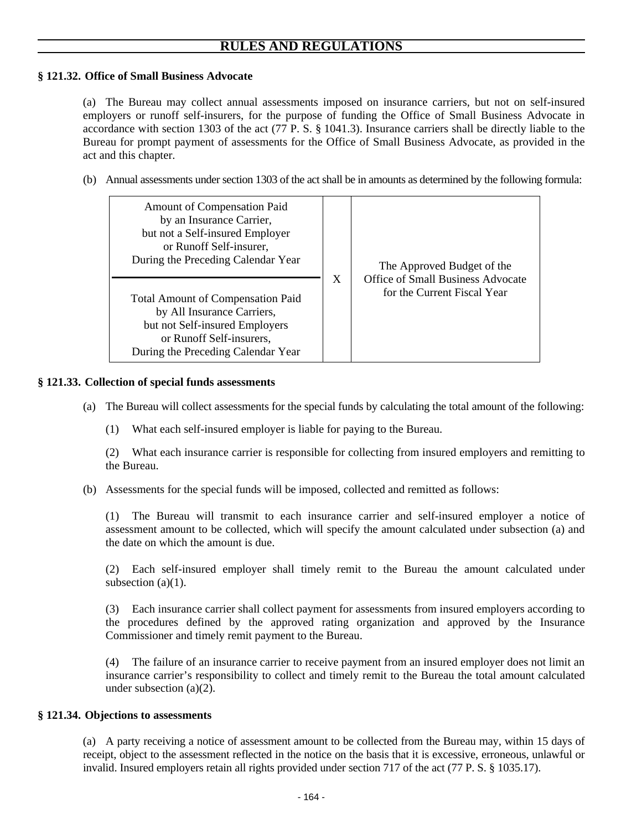## **§ 121.32. Office of Small Business Advocate**

(a) The Bureau may collect annual assessments imposed on insurance carriers, but not on self-insured employers or runoff self-insurers, for the purpose of funding the Office of Small Business Advocate in accordance with section 1303 of the act (77 P. S. § 1041.3). Insurance carriers shall be directly liable to the Bureau for prompt payment of assessments for the Office of Small Business Advocate, as provided in the act and this chapter.

(b) Annual assessments under section 1303 of the act shall be in amounts as determined by the following formula:

| <b>Amount of Compensation Paid</b><br>by an Insurance Carrier,<br>but not a Self-insured Employer<br>or Runoff Self-insurer,<br>During the Preceding Calendar Year<br><b>Total Amount of Compensation Paid</b><br>by All Insurance Carriers,<br>but not Self-insured Employers<br>or Runoff Self-insurers,<br>During the Preceding Calendar Year | X | The Approved Budget of the<br><b>Office of Small Business Advocate</b><br>for the Current Fiscal Year |
|--------------------------------------------------------------------------------------------------------------------------------------------------------------------------------------------------------------------------------------------------------------------------------------------------------------------------------------------------|---|-------------------------------------------------------------------------------------------------------|
|--------------------------------------------------------------------------------------------------------------------------------------------------------------------------------------------------------------------------------------------------------------------------------------------------------------------------------------------------|---|-------------------------------------------------------------------------------------------------------|

### **§ 121.33. Collection of special funds assessments**

- (a) The Bureau will collect assessments for the special funds by calculating the total amount of the following:
	- (1) What each self-insured employer is liable for paying to the Bureau.

(2) What each insurance carrier is responsible for collecting from insured employers and remitting to the Bureau.

(b) Assessments for the special funds will be imposed, collected and remitted as follows:

(1) The Bureau will transmit to each insurance carrier and self-insured employer a notice of assessment amount to be collected, which will specify the amount calculated under subsection (a) and the date on which the amount is due.

(2) Each self-insured employer shall timely remit to the Bureau the amount calculated under subsection  $(a)(1)$ .

(3) Each insurance carrier shall collect payment for assessments from insured employers according to the procedures defined by the approved rating organization and approved by the Insurance Commissioner and timely remit payment to the Bureau.

(4) The failure of an insurance carrier to receive payment from an insured employer does not limit an insurance carrier's responsibility to collect and timely remit to the Bureau the total amount calculated under subsection (a)(2).

## **§ 121.34. Objections to assessments**

(a) A party receiving a notice of assessment amount to be collected from the Bureau may, within 15 days of receipt, object to the assessment reflected in the notice on the basis that it is excessive, erroneous, unlawful or invalid. Insured employers retain all rights provided under section 717 of the act (77 P. S. § 1035.17).